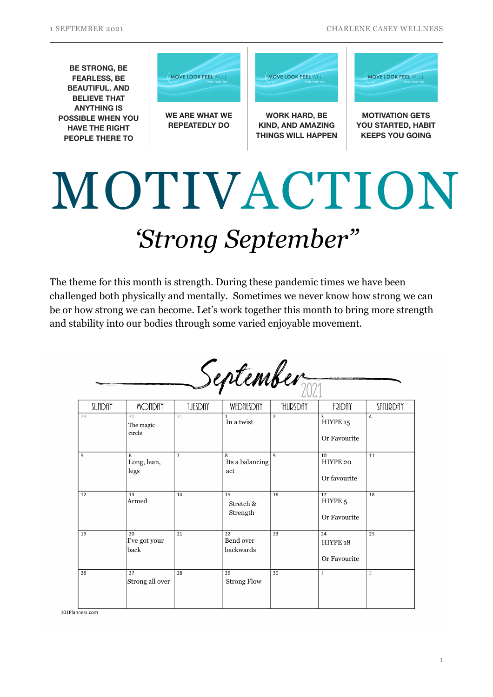

## *'Strong September"* MOTIVACTION

The theme for this month is strength. During these pandemic times we have been challenged both physically and mentally. Sometimes we never know how strong we can be or how strong we can become. Let's work together this month to bring more strength and stability into our bodies through some varied enjoyable movement.

| September |  |
|-----------|--|
|-----------|--|

| SUNDAY | <b>MONDAY</b>               | TUESDAY        | WEDNESDAY                    | THURSDAY       | <b>FRIDAY</b>                            | SATURDAY       |
|--------|-----------------------------|----------------|------------------------------|----------------|------------------------------------------|----------------|
| 29     | 30<br>The magic<br>circle   | 31             | $\mathbf{1}$<br>In a twist   | $\overline{2}$ | 3<br>HIYPE 15<br>Or Favourite            | 4              |
| 5      | 6<br>Long, lean,<br>legs    | $\overline{7}$ | 8<br>Its a balancing<br>act  | 9              | 10<br>HIYPE 20<br>Or favourite           | 11             |
| 12     | 13<br>Armed                 | 14             | 15<br>Stretch &<br>Strength  | 16             | 17<br>HIYPE <sub>5</sub><br>Or Favourite | 18             |
| 19     | 20<br>I've got your<br>back | 21             | 22<br>Bend over<br>backwards | 23             | 24<br>HIYPE 18<br>Or Favourite           | 25             |
| 26     | 27<br>Strong all over       | 28             | 29<br><b>Strong Flow</b>     | 30             |                                          | $\overline{2}$ |

101Planners.com